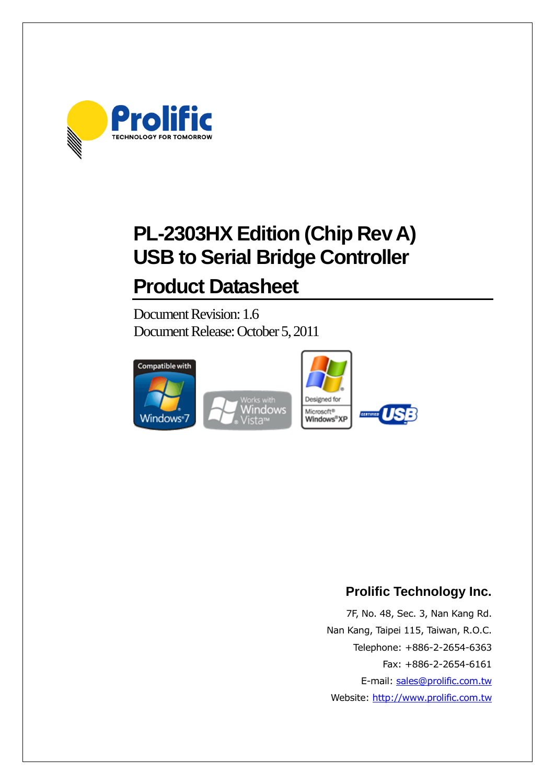

# **PL-2303HX Edition (Chip Rev A) USB to Serial Bridge Controller**

# **Product Datasheet**

Document Revision: 1.6 Document Release: October 5, 2011



# **Prolific Technology Inc.**

7F, No. 48, Sec. 3, Nan Kang Rd. Nan Kang, Taipei 115, Taiwan, R.O.C. Telephone: +886-2-2654-6363 Fax: +886-2-2654-6161 E-mail: [sales@prolific.com.tw](mailto:sales@prolific.com.tw) Website: [http://www.prolific.com.tw](http://www.prolific.com.tw/)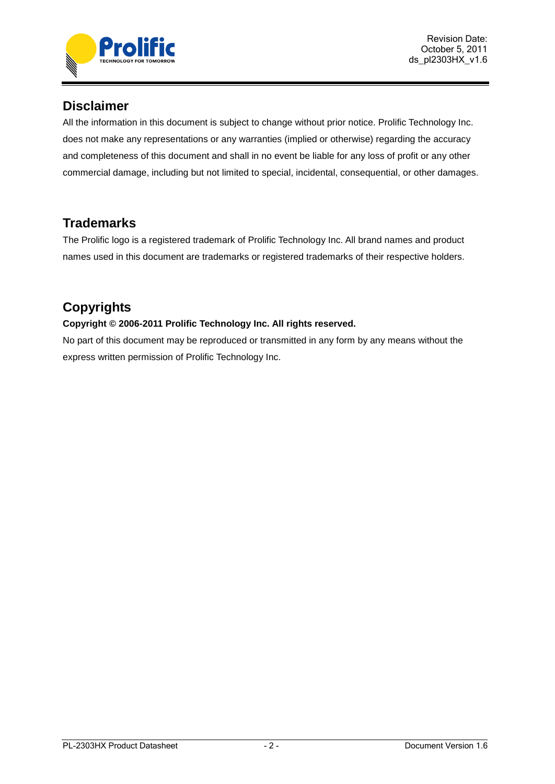

# **Disclaimer**

All the information in this document is subject to change without prior notice. Prolific Technology Inc. does not make any representations or any warranties (implied or otherwise) regarding the accuracy and completeness of this document and shall in no event be liable for any loss of profit or any other commercial damage, including but not limited to special, incidental, consequential, or other damages.

# **Trademarks**

The Prolific logo is a registered trademark of Prolific Technology Inc. All brand names and product names used in this document are trademarks or registered trademarks of their respective holders.

# **Copyrights**

### **Copyright © 2006-2011 Prolific Technology Inc. All rights reserved.**

No part of this document may be reproduced or transmitted in any form by any means without the express written permission of Prolific Technology Inc.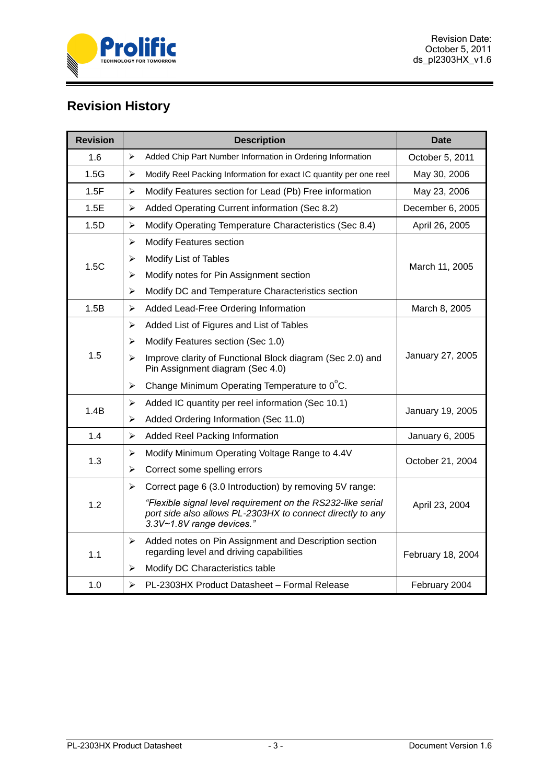

# **Revision History**

| <b>Revision</b> |                       | <b>Description</b>                                                                                                                                     | <b>Date</b>       |  |
|-----------------|-----------------------|--------------------------------------------------------------------------------------------------------------------------------------------------------|-------------------|--|
| 1.6             | ⋗                     | Added Chip Part Number Information in Ordering Information                                                                                             | October 5, 2011   |  |
| 1.5G            | $\blacktriangleright$ | Modify Reel Packing Information for exact IC quantity per one reel                                                                                     | May 30, 2006      |  |
| 1.5F            | ➤                     | Modify Features section for Lead (Pb) Free information                                                                                                 | May 23, 2006      |  |
| 1.5E            | ➤                     | Added Operating Current information (Sec 8.2)                                                                                                          | December 6, 2005  |  |
| 1.5D            | ➤                     | Modify Operating Temperature Characteristics (Sec 8.4)                                                                                                 | April 26, 2005    |  |
|                 | ➤                     | Modify Features section                                                                                                                                |                   |  |
| 1.5C            | ⋗                     | Modify List of Tables                                                                                                                                  |                   |  |
|                 | ➤                     | Modify notes for Pin Assignment section                                                                                                                | March 11, 2005    |  |
|                 | ➤                     | Modify DC and Temperature Characteristics section                                                                                                      |                   |  |
| 1.5B            | ➤                     | Added Lead-Free Ordering Information                                                                                                                   | March 8, 2005     |  |
|                 | ➤                     | Added List of Figures and List of Tables                                                                                                               |                   |  |
|                 | ⋗                     | Modify Features section (Sec 1.0)                                                                                                                      |                   |  |
| 1.5             | ➤                     | Improve clarity of Functional Block diagram (Sec 2.0) and<br>Pin Assignment diagram (Sec 4.0)                                                          | January 27, 2005  |  |
|                 |                       |                                                                                                                                                        |                   |  |
| 1.4B            | ➤                     | Added IC quantity per reel information (Sec 10.1)                                                                                                      |                   |  |
|                 | ➤                     | Added Ordering Information (Sec 11.0)                                                                                                                  | January 19, 2005  |  |
| 1.4             | ➤                     | <b>Added Reel Packing Information</b>                                                                                                                  | January 6, 2005   |  |
| 1.3             | ➤                     | Modify Minimum Operating Voltage Range to 4.4V                                                                                                         | October 21, 2004  |  |
|                 | ➤                     | Correct some spelling errors                                                                                                                           |                   |  |
|                 | ↘                     | Correct page 6 (3.0 Introduction) by removing 5V range:                                                                                                |                   |  |
| 1.2             |                       | "Flexible signal level requirement on the RS232-like serial<br>port side also allows PL-2303HX to connect directly to any<br>3.3V~1.8V range devices." | April 23, 2004    |  |
| 1.1             | ≻                     | Added notes on Pin Assignment and Description section<br>regarding level and driving capabilities                                                      | February 18, 2004 |  |
|                 | ➤                     | Modify DC Characteristics table                                                                                                                        |                   |  |
| 1.0             | ➤                     | PL-2303HX Product Datasheet - Formal Release                                                                                                           | February 2004     |  |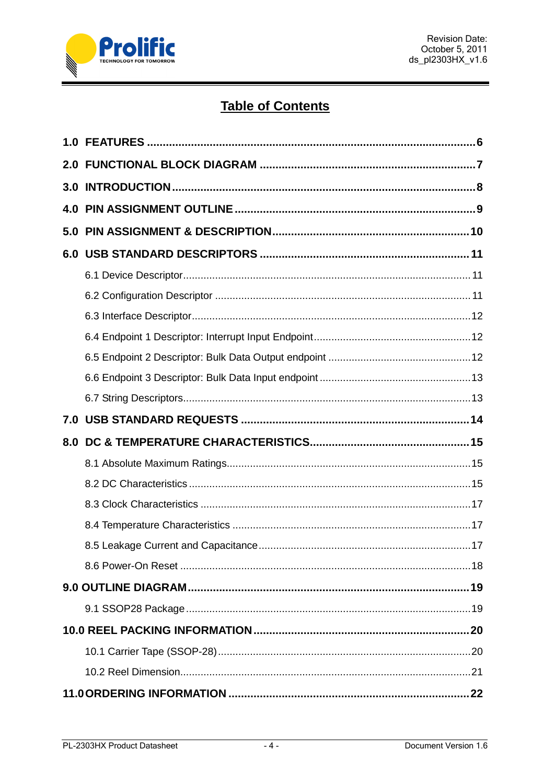

# **Table of Contents**

| 7.0 |  |
|-----|--|
| 8.0 |  |
|     |  |
|     |  |
|     |  |
|     |  |
|     |  |
|     |  |
|     |  |
|     |  |
|     |  |
|     |  |
|     |  |
|     |  |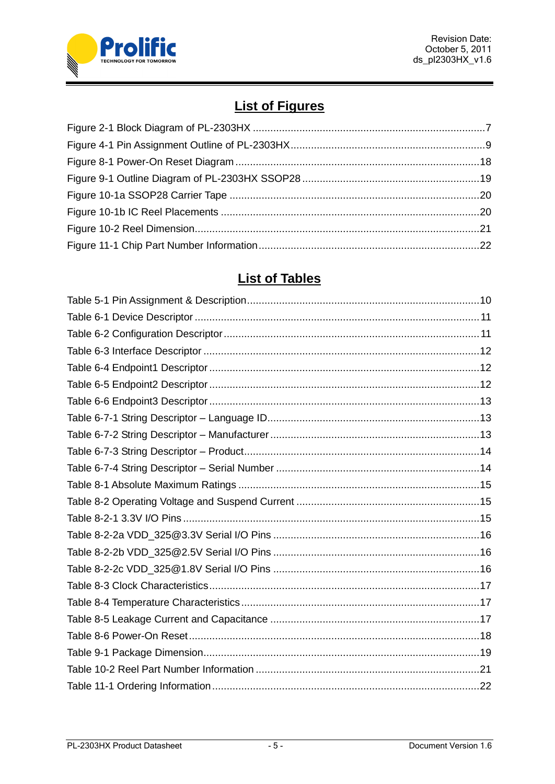

# **List of Figures**

# **List of Tables**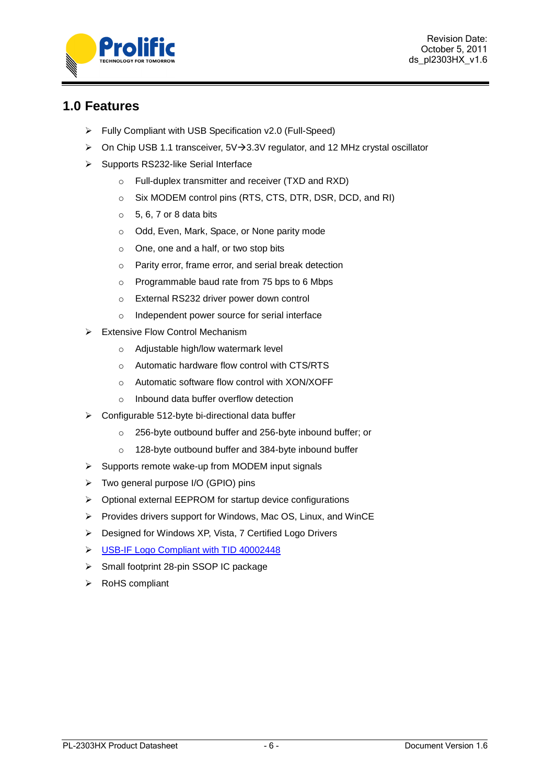

# <span id="page-5-0"></span>**1.0 Features**

- Fully Compliant with USB Specification v2.0 (Full-Speed)
- $\triangleright$  On Chip USB 1.1 transceiver, 5V $\rightarrow$ 3.3V regulator, and 12 MHz crystal oscillator
- $\triangleright$  Supports RS232-like Serial Interface
	- o Full-duplex transmitter and receiver (TXD and RXD)
	- o Six MODEM control pins (RTS, CTS, DTR, DSR, DCD, and RI)
	- $\circ$  5, 6, 7 or 8 data bits
	- o Odd, Even, Mark, Space, or None parity mode
	- o One, one and a half, or two stop bits
	- o Parity error, frame error, and serial break detection
	- o Programmable baud rate from 75 bps to 6 Mbps
	- o External RS232 driver power down control
	- o Independent power source for serial interface
- $\triangleright$  Extensive Flow Control Mechanism
	- o Adjustable high/low watermark level
	- o Automatic hardware flow control with CTS/RTS
	- o Automatic software flow control with XON/XOFF
	- o Inbound data buffer overflow detection
- $\triangleright$  Configurable 512-byte bi-directional data buffer
	- o 256-byte outbound buffer and 256-byte inbound buffer; or
	- o 128-byte outbound buffer and 384-byte inbound buffer
- $\triangleright$  Supports remote wake-up from MODEM input signals
- Two general purpose I/O (GPIO) pins
- Optional external EEPROM for startup device configurations
- $\triangleright$  Provides drivers support for Windows, Mac OS, Linux, and WinCE
- ▶ Designed for Windows XP, Vista, 7 Certified Logo Drivers
- S [USB-IF Logo Compliant with TID 40002448](http://www.usb.org/kcompliance/view/view_item?item_key=d5bde118fe89568ae6f9be12678cbf55cd5fa985&referring_url=/kcompliance)
- $\triangleright$  Small footprint 28-pin SSOP IC package
- > RoHS compliant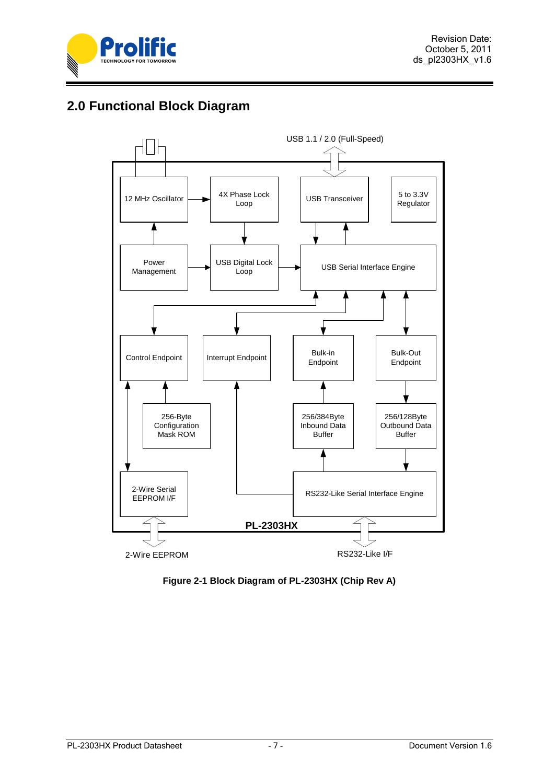

# <span id="page-6-0"></span>**2.0 Functional Block Diagram**



<span id="page-6-1"></span>**Figure 2-1 Block Diagram of PL-2303HX (Chip Rev A)**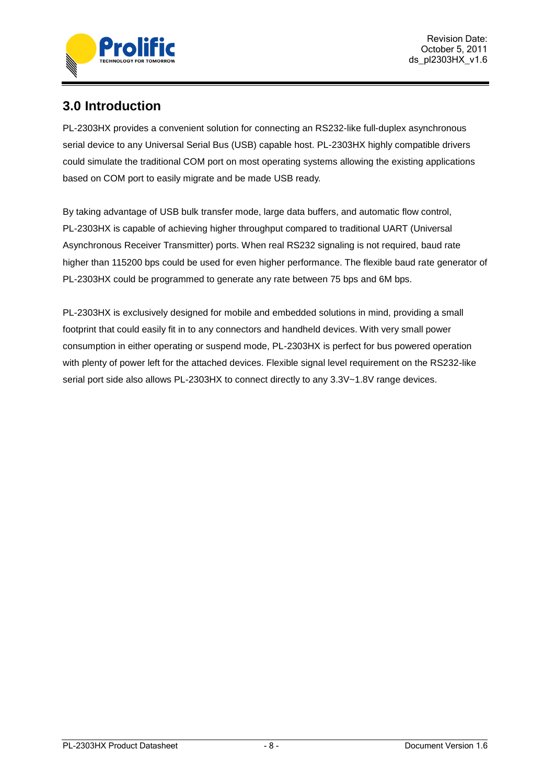

# <span id="page-7-0"></span>**3.0 Introduction**

PL-2303HX provides a convenient solution for connecting an RS232-like full-duplex asynchronous serial device to any Universal Serial Bus (USB) capable host. PL-2303HX highly compatible drivers could simulate the traditional COM port on most operating systems allowing the existing applications based on COM port to easily migrate and be made USB ready.

By taking advantage of USB bulk transfer mode, large data buffers, and automatic flow control, PL-2303HX is capable of achieving higher throughput compared to traditional UART (Universal Asynchronous Receiver Transmitter) ports. When real RS232 signaling is not required, baud rate higher than 115200 bps could be used for even higher performance. The flexible baud rate generator of PL-2303HX could be programmed to generate any rate between 75 bps and 6M bps.

PL-2303HX is exclusively designed for mobile and embedded solutions in mind, providing a small footprint that could easily fit in to any connectors and handheld devices. With very small power consumption in either operating or suspend mode, PL-2303HX is perfect for bus powered operation with plenty of power left for the attached devices. Flexible signal level requirement on the RS232-like serial port side also allows PL-2303HX to connect directly to any 3.3V~1.8V range devices.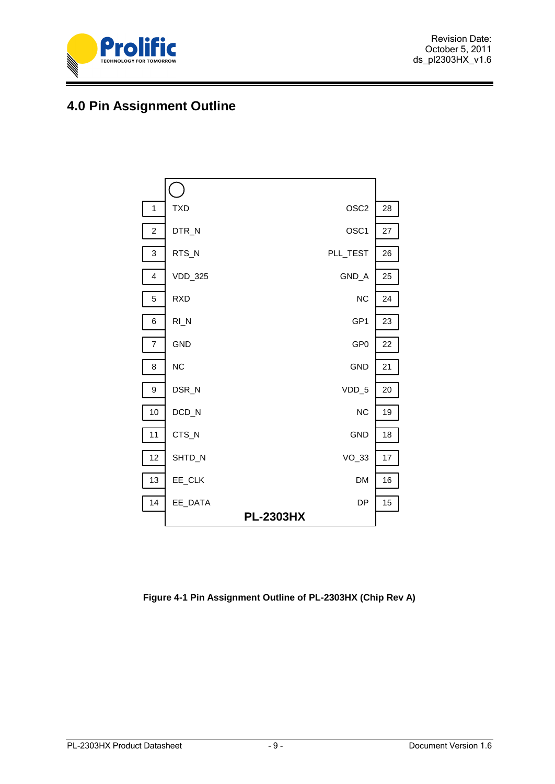

# <span id="page-8-0"></span>**4.0 Pin Assignment Outline**



<span id="page-8-1"></span>**Figure 4-1 Pin Assignment Outline of PL-2303HX (Chip Rev A)**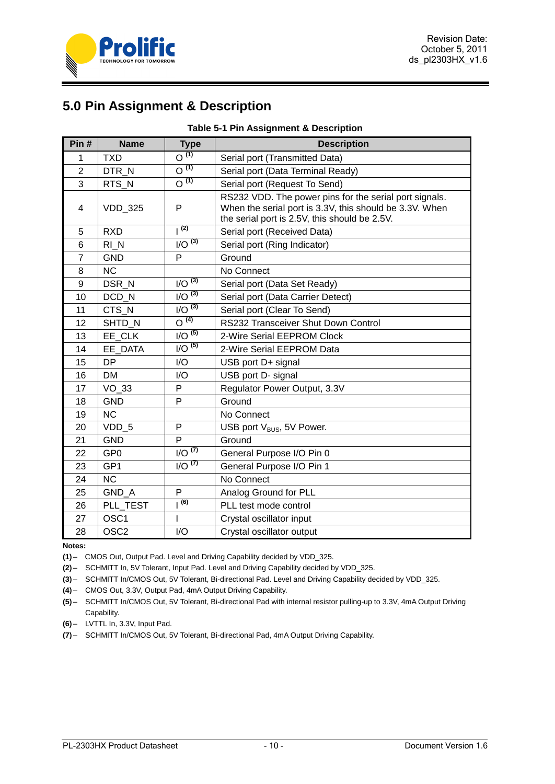

# <span id="page-9-0"></span>**5.0 Pin Assignment & Description**

<span id="page-9-1"></span>

| Pin#           | <b>Name</b>      | <b>Type</b>                     | <b>Description</b>                                                                                                                                                 |  |  |
|----------------|------------------|---------------------------------|--------------------------------------------------------------------------------------------------------------------------------------------------------------------|--|--|
| 1              | <b>TXD</b>       | $\overline{O}^{(1)}$            | Serial port (Transmitted Data)                                                                                                                                     |  |  |
| $\overline{2}$ | DTR N            | $\overline{O^{(1)}}$            | Serial port (Data Terminal Ready)                                                                                                                                  |  |  |
| 3              | RTS N            | O <sup>(1)</sup>                | Serial port (Request To Send)                                                                                                                                      |  |  |
| 4              | <b>VDD 325</b>   | P                               | RS232 VDD. The power pins for the serial port signals.<br>When the serial port is 3.3V, this should be 3.3V. When<br>the serial port is 2.5V, this should be 2.5V. |  |  |
| 5              | <b>RXD</b>       | (2)                             | Serial port (Received Data)                                                                                                                                        |  |  |
| 6              | RIN              | $1/O^{(3)}$                     | Serial port (Ring Indicator)                                                                                                                                       |  |  |
| $\overline{7}$ | <b>GND</b>       | P                               | Ground                                                                                                                                                             |  |  |
| 8              | <b>NC</b>        |                                 | No Connect                                                                                                                                                         |  |  |
| 9              | DSR N            | $1/O^{(3)}$                     | Serial port (Data Set Ready)                                                                                                                                       |  |  |
| 10             | DCD_N            | $I/O^{(3)}$                     | Serial port (Data Carrier Detect)                                                                                                                                  |  |  |
| 11             | CTS N            | $1/O^{(3)}$                     | Serial port (Clear To Send)                                                                                                                                        |  |  |
| 12             | SHTD N           | $\overline{O^{(4)}}$            | RS232 Transceiver Shut Down Control                                                                                                                                |  |  |
| 13             | EE CLK           | $I/O^{(5)}$                     | 2-Wire Serial EEPROM Clock                                                                                                                                         |  |  |
| 14             | EE DATA          | $I/O^{(5)}$                     | 2-Wire Serial EEPROM Data                                                                                                                                          |  |  |
| 15             | <b>DP</b>        | I/O                             | USB port D+ signal                                                                                                                                                 |  |  |
| 16             | <b>DM</b>        | I/O                             | USB port D- signal                                                                                                                                                 |  |  |
| 17             | $VO_33$          | P                               | Regulator Power Output, 3.3V                                                                                                                                       |  |  |
| 18             | <b>GND</b>       | P                               | Ground                                                                                                                                                             |  |  |
| 19             | <b>NC</b>        |                                 | No Connect                                                                                                                                                         |  |  |
| 20             | VDD 5            | P                               | USB port V <sub>BUS</sub> , 5V Power.                                                                                                                              |  |  |
| 21             | <b>GND</b>       | P                               | Ground                                                                                                                                                             |  |  |
| 22             | GP <sub>0</sub>  | $1/\overline{O}$ <sup>(7)</sup> | General Purpose I/O Pin 0                                                                                                                                          |  |  |
| 23             | GP <sub>1</sub>  | $1/O^{(7)}$                     | General Purpose I/O Pin 1                                                                                                                                          |  |  |
| 24             | <b>NC</b>        |                                 | No Connect                                                                                                                                                         |  |  |
| 25             | GND A            | P                               | Analog Ground for PLL                                                                                                                                              |  |  |
| 26             | PLL_TEST         | (6)                             | PLL test mode control                                                                                                                                              |  |  |
| 27             | OSC <sub>1</sub> |                                 | Crystal oscillator input                                                                                                                                           |  |  |
| 28             | OSC <sub>2</sub> | I/O                             | Crystal oscillator output                                                                                                                                          |  |  |

#### **Table 5-1 Pin Assignment & Description**

**Notes:**

**(1)** – CMOS Out, Output Pad. Level and Driving Capability decided by VDD\_325.

**(2)** – SCHMITT In, 5V Tolerant, Input Pad. Level and Driving Capability decided by VDD\_325.

**(3)** – SCHMITT In/CMOS Out, 5V Tolerant, Bi-directional Pad. Level and Driving Capability decided by VDD\_325.

**(4)** – CMOS Out, 3.3V, Output Pad, 4mA Output Driving Capability.

**(5)** – SCHMITT In/CMOS Out, 5V Tolerant, Bi-directional Pad with internal resistor pulling-up to 3.3V, 4mA Output Driving Capability.

**(6)** – LVTTL In, 3.3V, Input Pad.

**(7)** – SCHMITT In/CMOS Out, 5V Tolerant, Bi-directional Pad, 4mA Output Driving Capability.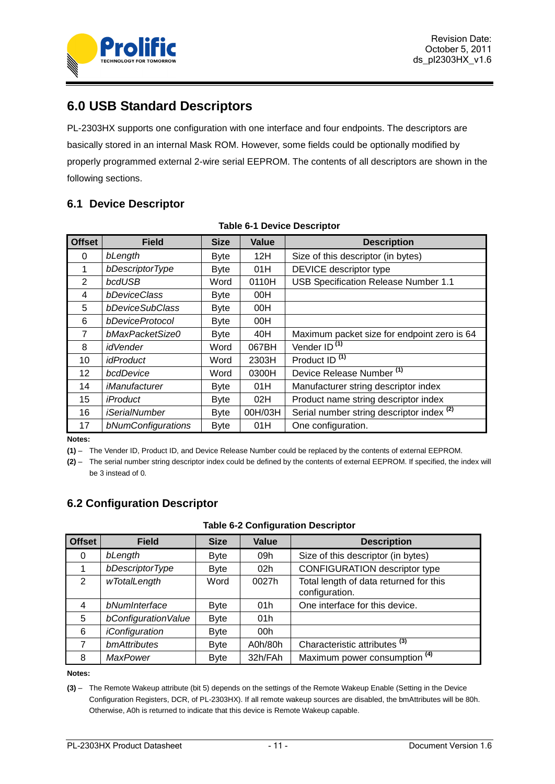

# <span id="page-10-0"></span>**6.0 USB Standard Descriptors**

PL-2303HX supports one configuration with one interface and four endpoints. The descriptors are basically stored in an internal Mask ROM. However, some fields could be optionally modified by properly programmed external 2-wire serial EEPROM. The contents of all descriptors are shown in the following sections.

### <span id="page-10-1"></span>**6.1 Device Descriptor**

<span id="page-10-3"></span>

| <b>Offset</b>  | <b>Field</b>         | <b>Size</b> | Value   | <b>Description</b>                                   |  |  |  |
|----------------|----------------------|-------------|---------|------------------------------------------------------|--|--|--|
| 0              | bLength              | <b>Byte</b> | 12H     | Size of this descriptor (in bytes)                   |  |  |  |
| 1              | bDescriptorType      | <b>Byte</b> | 01H     | DEVICE descriptor type                               |  |  |  |
| $\overline{2}$ | bcdUSB               | Word        | 0110H   | USB Specification Release Number 1.1                 |  |  |  |
| 4              | bDeviceClass         | <b>Byte</b> | 00H     |                                                      |  |  |  |
| 5              | bDeviceSubClass      | <b>Byte</b> | 00H     |                                                      |  |  |  |
| 6              | bDeviceProtocol      | <b>Byte</b> | 00H     |                                                      |  |  |  |
| 7              | bMaxPacketSize0      | <b>Byte</b> | 40H     | Maximum packet size for endpoint zero is 64          |  |  |  |
| 8              | <i>idVender</i>      | Word        | 067BH   | Vender ID <sup>(1)</sup>                             |  |  |  |
| 10             | <i>idProduct</i>     | Word        | 2303H   | Product ID <sup>(1)</sup>                            |  |  |  |
| 12             | bcdDevice            | Word        | 0300H   | Device Release Number <sup>(1)</sup>                 |  |  |  |
| 14             | <i>iManufacturer</i> | <b>Byte</b> | 01H     | Manufacturer string descriptor index                 |  |  |  |
| 15             | <i>iProduct</i>      | <b>Byte</b> | 02H     | Product name string descriptor index                 |  |  |  |
| 16             | <i>iSerialNumber</i> | <b>Byte</b> | 00H/03H | Serial number string descriptor index <sup>(2)</sup> |  |  |  |
| 17             | bNumConfigurations   | <b>Byte</b> | 01H     | One configuration.                                   |  |  |  |

#### **Table 6-1 Device Descriptor**

**Notes:**

**(1)** – The Vender ID, Product ID, and Device Release Number could be replaced by the contents of external EEPROM.

**(2)** – The serial number string descriptor index could be defined by the contents of external EEPROM. If specified, the index will be 3 instead of 0.

### <span id="page-10-2"></span>**6.2 Configuration Descriptor**

|  | <b>Table 6-2 Configuration Descriptor</b> |  |
|--|-------------------------------------------|--|
|--|-------------------------------------------|--|

<span id="page-10-4"></span>

| <b>Offset</b> | <b>Field</b>          | <b>Size</b> | <b>Value</b>    | <b>Description</b>                                       |
|---------------|-----------------------|-------------|-----------------|----------------------------------------------------------|
| 0             | bLength               | <b>Byte</b> | 09h             | Size of this descriptor (in bytes)                       |
|               | bDescriptorType       | <b>Byte</b> | 02 <sub>h</sub> | <b>CONFIGURATION descriptor type</b>                     |
| $\mathcal{P}$ | wTotalLength          | Word        | 0027h           | Total length of data returned for this<br>configuration. |
| 4             | bNumInterface         | <b>Byte</b> | 01h             | One interface for this device.                           |
| 5             | bConfiguration Value  | <b>Byte</b> | 01h             |                                                          |
| 6             | <i>iConfiguration</i> | <b>Byte</b> | 00h             |                                                          |
| 7             | bmAttributes          | <b>Byte</b> | A0h/80h         | Characteristic attributes <sup>(3)</sup>                 |
| 8             | <b>MaxPower</b>       | <b>Byte</b> | 32h/FAh         | Maximum power consumption <sup>(4)</sup>                 |

**Notes:**

**(3)** – The Remote Wakeup attribute (bit 5) depends on the settings of the Remote Wakeup Enable (Setting in the Device Configuration Registers, DCR, of PL-2303HX). If all remote wakeup sources are disabled, the bmAttributes will be 80h. Otherwise, A0h is returned to indicate that this device is Remote Wakeup capable.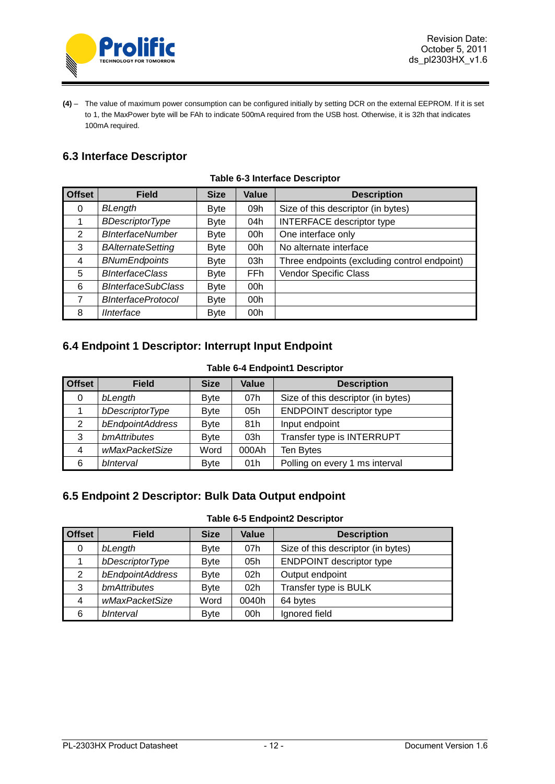

**(4)** – The value of maximum power consumption can be configured initially by setting DCR on the external EEPROM. If it is set to 1, the MaxPower byte will be FAh to indicate 500mA required from the USB host. Otherwise, it is 32h that indicates 100mA required.

# <span id="page-11-0"></span>**6.3 Interface Descriptor**

<span id="page-11-3"></span>

| <b>Offset</b> | <b>Field</b>              | <b>Size</b> | Value           | <b>Description</b>                           |
|---------------|---------------------------|-------------|-----------------|----------------------------------------------|
| 0             | BLength                   | <b>Byte</b> | 09h             | Size of this descriptor (in bytes)           |
|               | <b>BDescriptorType</b>    | <b>Byte</b> | 04h             | <b>INTERFACE descriptor type</b>             |
| 2             | <b>BInterfaceNumber</b>   | <b>Byte</b> | 00h             | One interface only                           |
| 3             | <b>BAlternateSetting</b>  | <b>Byte</b> | 00h             | No alternate interface                       |
| 4             | <b>BNumEndpoints</b>      | <b>Byte</b> | 03h             | Three endpoints (excluding control endpoint) |
| 5             | <b>BInterfaceClass</b>    | <b>Byte</b> | FFh             | Vendor Specific Class                        |
| 6             | <b>BInterfaceSubClass</b> | <b>Byte</b> | 00h             |                                              |
| 7             | <b>BInterfaceProtocol</b> | <b>Byte</b> | 00 <sub>h</sub> |                                              |
| 8             | <b>IInterface</b>         | <b>Byte</b> | 00h             |                                              |

### **Table 6-3 Interface Descriptor**

### <span id="page-11-1"></span>**6.4 Endpoint 1 Descriptor: Interrupt Input Endpoint**

#### **Table 6-4 Endpoint1 Descriptor**

<span id="page-11-4"></span>

| <b>Offset</b> | <b>Field</b>     | <b>Size</b> | Value | <b>Description</b>                 |
|---------------|------------------|-------------|-------|------------------------------------|
| 0             | bLength          | <b>Byte</b> | 07h   | Size of this descriptor (in bytes) |
|               | bDescriptorType  | <b>Byte</b> | 05h   | <b>ENDPOINT</b> descriptor type    |
| 2             | bEndpointAddress | <b>Byte</b> | 81h   | Input endpoint                     |
| 3             | bmAttributes     | <b>Byte</b> | 03h   | Transfer type is INTERRUPT         |
| 4             | wMaxPacketSize   | Word        | 000Ah | Ten Bytes                          |
| 6             | blnterval        | <b>Byte</b> | 01h   | Polling on every 1 ms interval     |

# <span id="page-11-2"></span>**6.5 Endpoint 2 Descriptor: Bulk Data Output endpoint**

#### **Table 6-5 Endpoint2 Descriptor**

<span id="page-11-5"></span>

| <b>Offset</b> | <b>Field</b>     | <b>Size</b> | Value           | <b>Description</b>                 |
|---------------|------------------|-------------|-----------------|------------------------------------|
| 0             | bLength          | <b>Byte</b> | 07h             | Size of this descriptor (in bytes) |
|               | bDescriptorType  | Byte        | 05h             | <b>ENDPOINT descriptor type</b>    |
| 2             | bEndpointAddress | Byte        | 02 <sub>h</sub> | Output endpoint                    |
| 3             | bmAttributes     | Byte        | 02h             | Transfer type is BULK              |
| 4             | wMaxPacketSize   | Word        | 0040h           | 64 bytes                           |
| 6             | blnterval        | <b>Byte</b> | 00h             | Ignored field                      |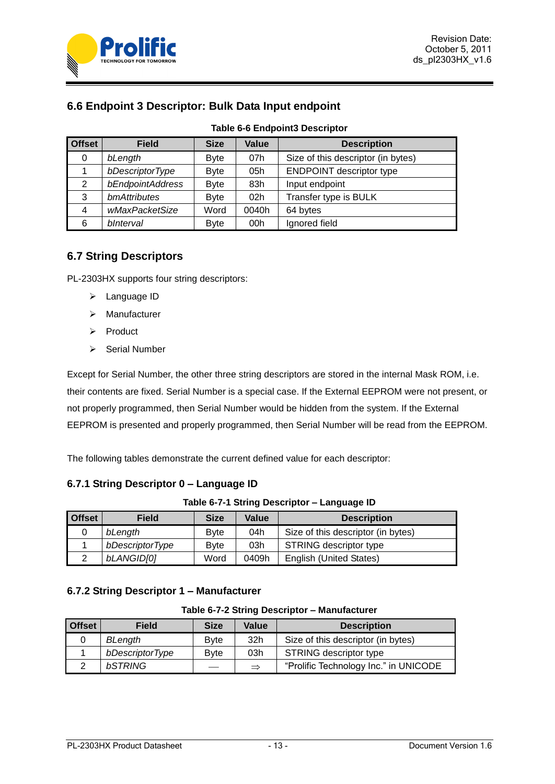

<span id="page-12-0"></span>

<span id="page-12-2"></span>

| <b>Offset</b> | <b>Field</b>     | <b>Size</b> | Value           | <b>Description</b>                 |
|---------------|------------------|-------------|-----------------|------------------------------------|
| 0             | bLength          | <b>Byte</b> | 07h             | Size of this descriptor (in bytes) |
|               | bDescriptorType  | <b>Byte</b> | 05h             | <b>ENDPOINT descriptor type</b>    |
| 2             | bEndpointAddress | <b>Byte</b> | 83h             | Input endpoint                     |
| 3             | bmAttributes     | <b>Byte</b> | 02 <sub>h</sub> | Transfer type is BULK              |
| 4             | wMaxPacketSize   | Word        | 0040h           | 64 bytes                           |
| 6             | blnterval        | <b>Byte</b> | 00 <sub>h</sub> | Ignored field                      |

#### **Table 6-6 Endpoint3 Descriptor**

### <span id="page-12-1"></span>**6.7 String Descriptors**

PL-2303HX supports four string descriptors:

- $\triangleright$  Language ID
- Manufacturer
- $\triangleright$  Product
- $\triangleright$  Serial Number

Except for Serial Number, the other three string descriptors are stored in the internal Mask ROM, i.e. their contents are fixed. Serial Number is a special case. If the External EEPROM were not present, or not properly programmed, then Serial Number would be hidden from the system. If the External EEPROM is presented and properly programmed, then Serial Number will be read from the EEPROM.

The following tables demonstrate the current defined value for each descriptor:

### **6.7.1 String Descriptor 0 – Language ID**

|  |  |  | Table 6-7-1 String Descriptor - Language ID |
|--|--|--|---------------------------------------------|
|--|--|--|---------------------------------------------|

<span id="page-12-3"></span>

| <b>Offset</b> | <b>Field</b>      | <b>Size</b>  | Value | <b>Description</b>                 |
|---------------|-------------------|--------------|-------|------------------------------------|
|               | bLength           | <b>B</b> vte | 04h   | Size of this descriptor (in bytes) |
|               | bDescriptorType   | <b>B</b> vte | 03h   | STRING descriptor type             |
|               | <b>bLANGID[0]</b> | Word         | 0409h | English (United States)            |

### <span id="page-12-4"></span>**6.7.2 String Descriptor 1 – Manufacturer**

#### **Table 6-7-2 String Descriptor – Manufacturer**

| <b>Offset</b> | <b>Field</b>    | <b>Size</b>   | Value         | <b>Description</b>                    |
|---------------|-----------------|---------------|---------------|---------------------------------------|
|               | BLength         | <b>B</b> vte  | 32h           | Size of this descriptor (in bytes)    |
|               | bDescriptorType | <b>B</b> vte  | 03h           | STRING descriptor type                |
|               | bSTRING         | $\sim$ $\sim$ | $\Rightarrow$ | "Prolific Technology Inc." in UNICODE |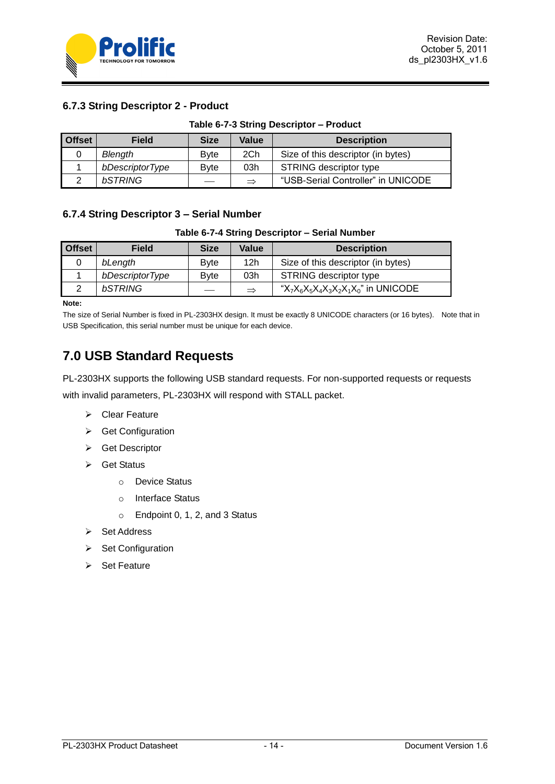

### **6.7.3 String Descriptor 2 - Product**

<span id="page-13-1"></span>

| <b>Offset</b> | <b>Field</b>    | <b>Size</b>  | Value         | <b>Description</b>                 |
|---------------|-----------------|--------------|---------------|------------------------------------|
|               | Blength         | <b>B</b> vte | 2Ch           | Size of this descriptor (in bytes) |
|               | bDescriptorType | <b>B</b> vte | 03h           | <b>STRING descriptor type</b>      |
|               | bSTRING         |              | $\Rightarrow$ | "USB-Serial Controller" in UNICODE |

### <span id="page-13-2"></span>**6.7.4 String Descriptor 3 – Serial Number**

**Table 6-7-4 String Descriptor – Serial Number**

| <b>Offset</b> | <b>Field</b>    | <b>Size</b>  | Value         | <b>Description</b>                        |
|---------------|-----------------|--------------|---------------|-------------------------------------------|
|               | bLength         | <b>B</b> vte | 12h           | Size of this descriptor (in bytes)        |
|               | bDescriptorType | <b>B</b> vte | 03h           | STRING descriptor type                    |
|               | bSTRING         |              | $\Rightarrow$ | " $X_7X_6X_5X_4X_3X_2X_1X_0$ " in UNICODE |

**Note:**

The size of Serial Number is fixed in PL-2303HX design. It must be exactly 8 UNICODE characters (or 16 bytes). Note that in USB Specification, this serial number must be unique for each device.

# <span id="page-13-0"></span>**7.0 USB Standard Requests**

PL-2303HX supports the following USB standard requests. For non-supported requests or requests with invalid parameters, PL-2303HX will respond with STALL packet.

- Clear Feature
- ▶ Get Configuration
- **▶ Get Descriptor**
- $\triangleright$  Get Status
	- o Device Status
	- o Interface Status
	- o Endpoint 0, 1, 2, and 3 Status
- **▶ Set Address**
- $\triangleright$  Set Configuration
- $\triangleright$  Set Feature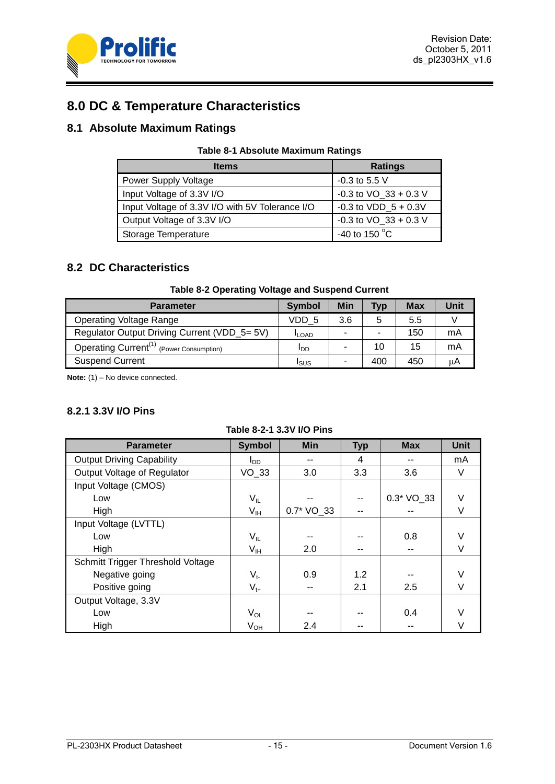

# <span id="page-14-0"></span>**8.0 DC & Temperature Characteristics**

### <span id="page-14-3"></span><span id="page-14-1"></span>**8.1 Absolute Maximum Ratings**

| <b>Table 8-1 Absolute Maximum Ratings</b> |  |  |
|-------------------------------------------|--|--|
|-------------------------------------------|--|--|

| <b>Items</b>                                    | <b>Ratings</b>            |
|-------------------------------------------------|---------------------------|
| <b>Power Supply Voltage</b>                     | $-0.3$ to 5.5 V           |
| Input Voltage of 3.3V I/O                       | $-0.3$ to VO $33 + 0.3$ V |
| Input Voltage of 3.3V I/O with 5V Tolerance I/O | $-0.3$ to VDD $5 + 0.3V$  |
| Output Voltage of 3.3V I/O                      | -0.3 to $VO_33 + 0.3 V$   |
| Storage Temperature                             | -40 to 150 $\degree$ C    |

### <span id="page-14-2"></span>**8.2 DC Characteristics**

#### **Table 8-2 Operating Voltage and Suspend Current**

<span id="page-14-4"></span>

| <b>Parameter</b>                                     | Symbol       | Min | <b>Typ</b> | <b>Max</b> | Unit |
|------------------------------------------------------|--------------|-----|------------|------------|------|
| <b>Operating Voltage Range</b>                       | VDD 5        | 3.6 | 5          | 5.5        |      |
| Regulator Output Driving Current (VDD_5= 5V)         | <b>ILOAD</b> |     | -          | 150        | mA   |
| Operating Current <sup>(1)</sup> (Power Consumption) | ססי          |     | 10         | 15         | mA   |
| <b>Suspend Current</b>                               | ISUS         |     | 400        | 450        | uА   |

**Note:** (1) – No device connected.

### **8.2.1 3.3V I/O Pins**

<span id="page-14-5"></span>

| <b>Parameter</b>                  | <b>Symbol</b>              | <b>Min</b> | <b>Typ</b> | <b>Max</b>  | <b>Unit</b> |
|-----------------------------------|----------------------------|------------|------------|-------------|-------------|
| <b>Output Driving Capability</b>  | l <sub>DD</sub>            |            | 4          |             | mA          |
| Output Voltage of Regulator       | VO 33                      | 3.0        | 3.3        | 3.6         | V           |
| Input Voltage (CMOS)              |                            |            |            |             |             |
| Low                               | $\mathsf{V}_{\mathsf{IL}}$ |            |            | $0.3*VO_33$ | $\vee$      |
| High                              | V <sub>IH</sub>            | 0.7* VO_33 | --         |             | V           |
| Input Voltage (LVTTL)             |                            |            |            |             |             |
| Low                               | $\mathsf{V}_{\mathsf{IL}}$ |            |            | 0.8         | V           |
| High                              | $V_{\text{IH}}$            | 2.0        | --         |             | V           |
| Schmitt Trigger Threshold Voltage |                            |            |            |             |             |
| Negative going                    | $V_{t-}$                   | 0.9        | 1.2        |             | V           |
| Positive going                    | $V_{t+}$                   |            | 2.1        | 2.5         | V           |
| Output Voltage, 3.3V              |                            |            |            |             |             |
| Low                               | $V_{OL}$                   |            |            | 0.4         | V           |
| High                              | $V_{OH}$                   | 2.4        |            |             | V           |

#### **Table 8-2-1 3.3V I/O Pins**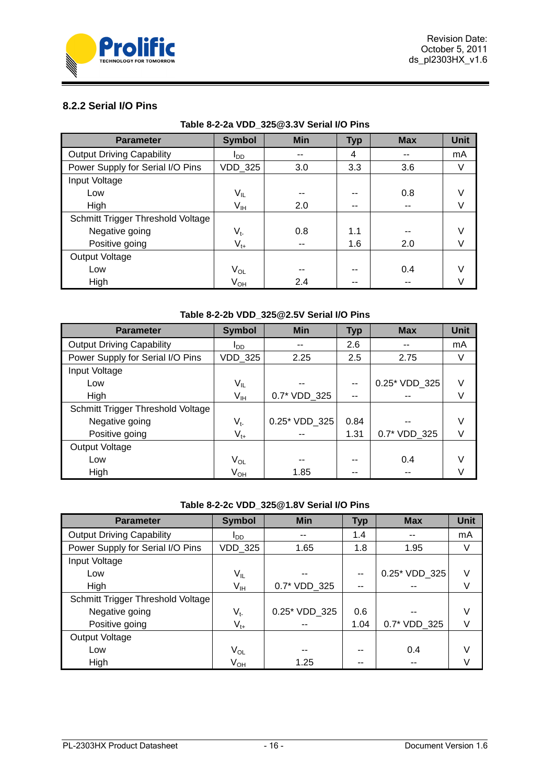

### **8.2.2 Serial I/O Pins**

<span id="page-15-0"></span>

| <b>Parameter</b>                  | <b>Symbol</b>   | <b>Min</b> | <b>Typ</b> | <b>Max</b> | <b>Unit</b> |  |  |  |  |
|-----------------------------------|-----------------|------------|------------|------------|-------------|--|--|--|--|
| <b>Output Driving Capability</b>  | l <sub>DD</sub> |            | 4          |            | mA          |  |  |  |  |
| Power Supply for Serial I/O Pins  | VDD_325         | 3.0        | 3.3        | 3.6        | V           |  |  |  |  |
| Input Voltage                     |                 |            |            |            |             |  |  |  |  |
| Low                               | $V_{IL}$        |            | --         | 0.8        | V           |  |  |  |  |
| High                              | V <sub>IH</sub> | 2.0        | --         | --         | V           |  |  |  |  |
| Schmitt Trigger Threshold Voltage |                 |            |            |            |             |  |  |  |  |
| Negative going                    | $V_{t}$         | 0.8        | 1.1        |            | V           |  |  |  |  |
| Positive going                    | $V_{t+}$        |            | 1.6        | 2.0        | V           |  |  |  |  |
| Output Voltage                    |                 |            |            |            |             |  |  |  |  |
| Low                               | $V_{OL}$        |            | --         | 0.4        | V           |  |  |  |  |
| High                              | V <sub>он</sub> | 2.4        |            |            |             |  |  |  |  |

#### **Table 8-2-2a VDD\_325@3.3V Serial I/O Pins**

### **Table 8-2-2b VDD\_325@2.5V Serial I/O Pins**

<span id="page-15-1"></span>

| <b>Parameter</b>                  | <b>Symbol</b>              | <b>Min</b>    | <b>Typ</b> | <b>Max</b>    | <b>Unit</b> |
|-----------------------------------|----------------------------|---------------|------------|---------------|-------------|
| <b>Output Driving Capability</b>  | סמי                        |               | 2.6        |               | mA          |
| Power Supply for Serial I/O Pins  | <b>VDD_325</b>             | 2.25          | 2.5        | 2.75          | V           |
| Input Voltage                     |                            |               |            |               |             |
| Low                               | $\mathsf{V}_{\mathsf{IL}}$ |               | --         | 0.25* VDD 325 | V           |
| High                              | $V_{IH}$                   | 0.7* VDD 325  | --         |               | V           |
| Schmitt Trigger Threshold Voltage |                            |               |            |               |             |
| Negative going                    | $V_{t}$                    | 0.25* VDD_325 | 0.84       |               | V           |
| Positive going                    | $V_{t+}$                   |               | 1.31       | 0.7* VDD 325  | V           |
| Output Voltage                    |                            |               |            |               |             |
| Low                               | V <sub>OL</sub>            | --            | --         | 0.4           | V           |
| High                              | V <sub>он</sub>            | 1.85          |            |               |             |

#### **Table 8-2-2c VDD\_325@1.8V Serial I/O Pins**

<span id="page-15-2"></span>

| <b>Parameter</b>                  | <b>Symbol</b>              | <b>Min</b>    | <b>Typ</b> | <b>Max</b>    | <b>Unit</b> |
|-----------------------------------|----------------------------|---------------|------------|---------------|-------------|
| <b>Output Driving Capability</b>  | l <sub>DD</sub>            |               | 1.4        |               | mA          |
| Power Supply for Serial I/O Pins  | VDD_325                    | 1.65          | 1.8        | 1.95          | V           |
| Input Voltage                     |                            |               |            |               |             |
| Low                               | V <sub>IL</sub>            |               |            | 0.25* VDD 325 | V           |
| High                              | $\mathsf{V}_{\mathsf{IH}}$ | 0.7* VDD 325  |            |               |             |
| Schmitt Trigger Threshold Voltage |                            |               |            |               |             |
| Negative going                    | $V_{t}$                    | 0.25* VDD 325 | 0.6        |               |             |
| Positive going                    | $V_{t+}$                   |               | 1.04       | 0.7* VDD 325  |             |
| Output Voltage                    |                            |               |            |               |             |
| Low                               | $\rm V_{OL}$               | --            |            | 0.4           |             |
| High                              | V <sub>OH</sub>            | 1.25          |            |               |             |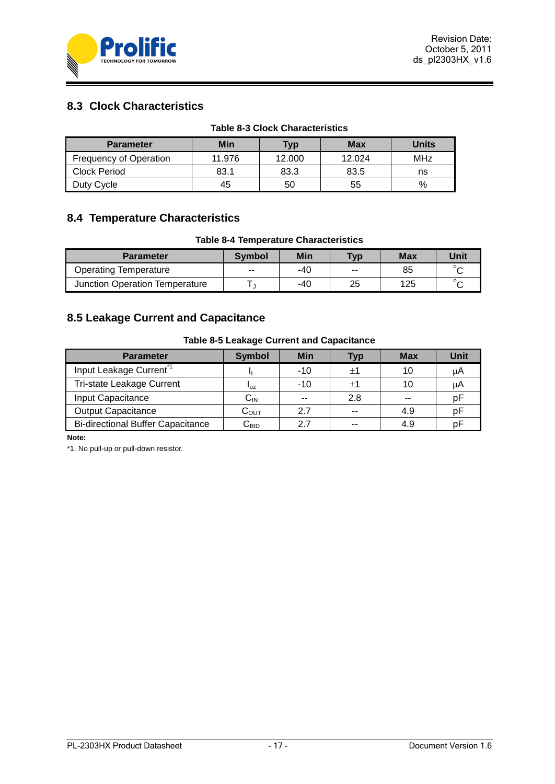

# <span id="page-16-0"></span>**8.3 Clock Characteristics**

<span id="page-16-3"></span>

|                               |        | <b>Table 8-3 Clock Characteristics</b> |        |              |
|-------------------------------|--------|----------------------------------------|--------|--------------|
| <b>Parameter</b>              | Min    | Typ                                    | Max    | <b>Units</b> |
| <b>Frequency of Operation</b> | 11.976 | 12.000                                 | 12.024 | MHz          |
| <b>Clock Period</b>           | 83.1   | 83.3                                   | 83.5   | ns           |
| Duty Cycle                    | 45     | 50                                     | 55     | $\%$         |

### <span id="page-16-1"></span>**8.4 Temperature Characteristics**

#### **Table 8-4 Temperature Characteristics**

<span id="page-16-4"></span>

| <b>Parameter</b>               | Symbol | Min | <b>Typ</b> | Max | Unit       |
|--------------------------------|--------|-----|------------|-----|------------|
| <b>Operating Temperature</b>   | $-$    | -40 | $- -$      | 85  | $^{\circ}$ |
| Junction Operation Temperature |        | -40 | 25         | 125 | ັ          |

# <span id="page-16-2"></span>**8.5 Leakage Current and Capacitance**

#### **Table 8-5 Leakage Current and Capacitance**

<span id="page-16-5"></span>

| <b>Parameter</b>                         | <b>Symbol</b>              | <b>Min</b> | Typ     | <b>Max</b> | Unit |
|------------------------------------------|----------------------------|------------|---------|------------|------|
| Input Leakage Current <sup>*1</sup>      |                            | $-10$      | ±1      |            | μA   |
| <b>Tri-state Leakage Current</b>         | $I_{OZ}$                   | $-10$      | $\pm 1$ |            | μA   |
| Input Capacitance                        | $\mathsf{C}_{\mathsf{IN}}$ |            | 2.8     | --         | рF   |
| <b>Output Capacitance</b>                | $\mathtt{C_{OUT}}$         | 2.7        |         | 4.9        | рF   |
| <b>Bi-directional Buffer Capacitance</b> | $\mathsf{C}_\mathsf{BID}$  | 27         | --      | 4.9        |      |

**Note:**

\*1. No pull-up or pull-down resistor.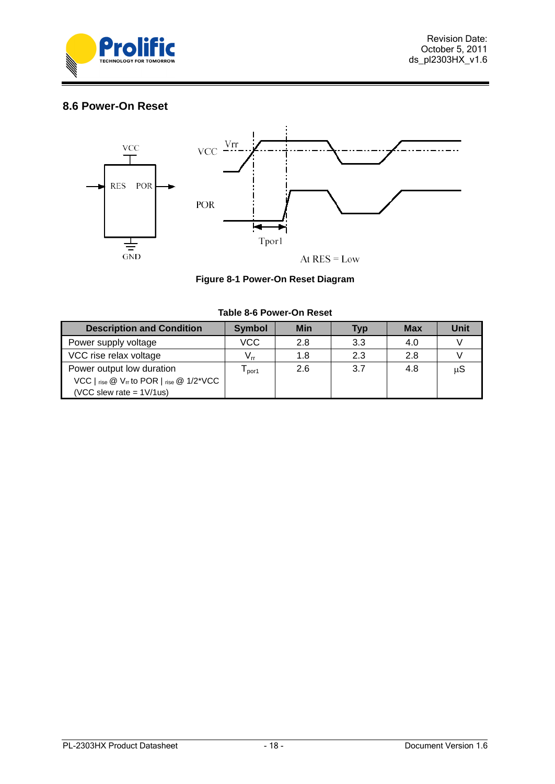

### <span id="page-17-0"></span>**8.6 Power-On Reset**



|  | Figure 8-1 Power-On Reset Diagram |  |  |
|--|-----------------------------------|--|--|
|--|-----------------------------------|--|--|

<span id="page-17-2"></span><span id="page-17-1"></span>

| <b>Description and Condition</b>                                                           | <b>Symbol</b>              | <b>Min</b> | <b>Typ</b> | <b>Max</b> | Unit |
|--------------------------------------------------------------------------------------------|----------------------------|------------|------------|------------|------|
| Power supply voltage                                                                       | <b>VCC</b>                 | 2.8        | 3.3        | 4.0        |      |
| VCC rise relax voltage                                                                     | $\mathsf{V}_{\mathsf{rr}}$ | 1.8        | 2.3        | 2.8        |      |
| Power output low duration                                                                  | por1                       | 2.6        | 3.7        | 4.8        | μS   |
| VCC $\vert$ rise $\circledcirc$ V <sub>IT</sub> to POR $\vert$ rise $\circledcirc$ 1/2*VCC |                            |            |            |            |      |
| (VCC slew rate = $1 \frac{\text{V}}{\text{us}}$ )                                          |                            |            |            |            |      |

#### **Table 8-6 Power-On Reset**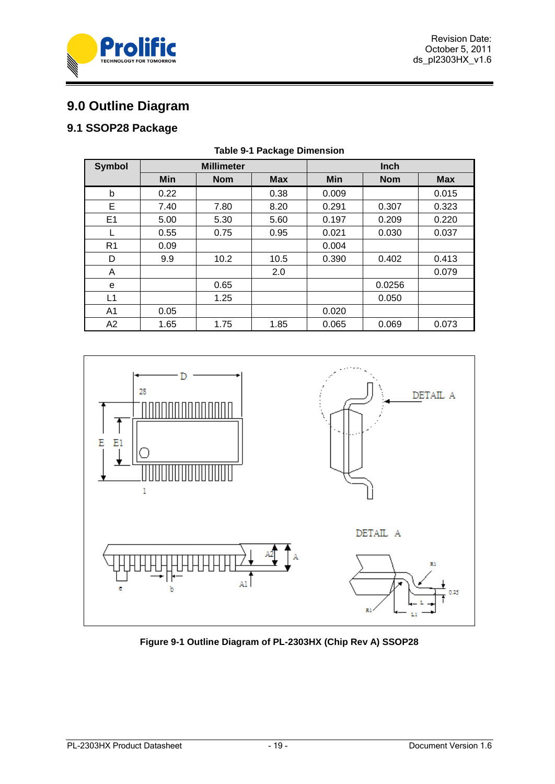



# <span id="page-18-0"></span>**9.0 Outline Diagram**

# <span id="page-18-3"></span><span id="page-18-1"></span>**9.1 SSOP28 Package**

| <b>Symbol</b>  | <b>Millimeter</b> |            |            | Inch       |            |            |
|----------------|-------------------|------------|------------|------------|------------|------------|
|                | Min               | <b>Nom</b> | <b>Max</b> | <b>Min</b> | <b>Nom</b> | <b>Max</b> |
| b              | 0.22              |            | 0.38       | 0.009      |            | 0.015      |
| Е              | 7.40              | 7.80       | 8.20       | 0.291      | 0.307      | 0.323      |
| E <sub>1</sub> | 5.00              | 5.30       | 5.60       | 0.197      | 0.209      | 0.220      |
|                | 0.55              | 0.75       | 0.95       | 0.021      | 0.030      | 0.037      |
| R <sub>1</sub> | 0.09              |            |            | 0.004      |            |            |
| D              | 9.9               | 10.2       | 10.5       | 0.390      | 0.402      | 0.413      |
| A              |                   |            | 2.0        |            |            | 0.079      |
| e              |                   | 0.65       |            |            | 0.0256     |            |
| L1             |                   | 1.25       |            |            | 0.050      |            |
| A <sub>1</sub> | 0.05              |            |            | 0.020      |            |            |
| A2             | 1.65              | 1.75       | 1.85       | 0.065      | 0.069      | 0.073      |

### **Table 9-1 Package Dimension**



<span id="page-18-2"></span>**Figure 9-1 Outline Diagram of PL-2303HX (Chip Rev A) SSOP28**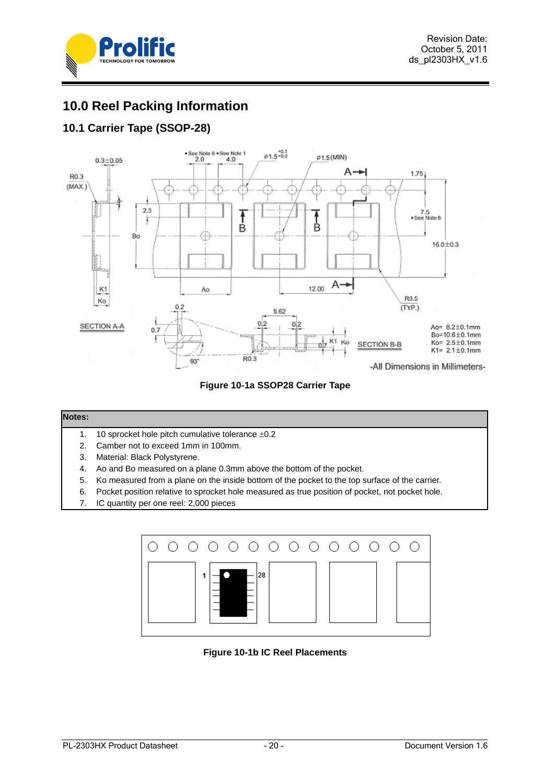



# <span id="page-19-0"></span>**10.0 Reel Packing Information**

# <span id="page-19-1"></span>**10.1 Carrier Tape (SSOP-28)**



**Figure 10-1a SSOP28 Carrier Tape**

#### <span id="page-19-2"></span>**Notes:**

- 1. 10 sprocket hole pitch cumulative tolerance  $\pm 0.2$
- 2. Camber not to exceed 1mm in 100mm.
- 3. Material: Black Polystyrene.
- 4. Ao and Bo measured on a plane 0.3mm above the bottom of the pocket.
- 5. Ko measured from a plane on the inside bottom of the pocket to the top surface of the carrier.
- 6. Pocket position relative to sprocket hole measured as true position of pocket, not pocket hole.
- 7. IC quantity per one reel: 2,000 pieces

<span id="page-19-3"></span>

**Figure 10-1b IC Reel Placements**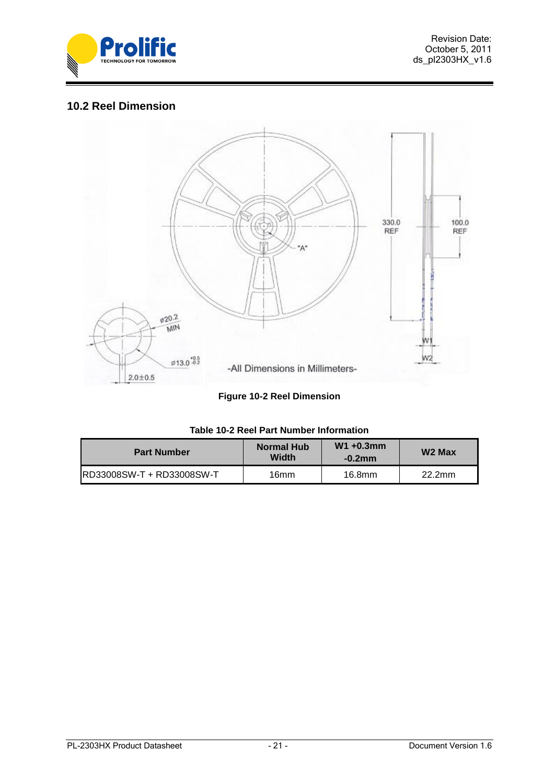

### <span id="page-20-0"></span>**10.2 Reel Dimension**



|  |  |  | <b>Figure 10-2 Reel Dimension</b> |
|--|--|--|-----------------------------------|
|--|--|--|-----------------------------------|

<span id="page-20-3"></span><span id="page-20-2"></span><span id="page-20-1"></span>

| <b>Part Number</b>        | Normal Hub<br>Width | $W1 + 0.3$ mm<br>$-0.2$ mm | W <sub>2</sub> Max |
|---------------------------|---------------------|----------------------------|--------------------|
| RD33008SW-T + RD33008SW-T | 16mm                | 16.8mm                     | 22.2mm             |